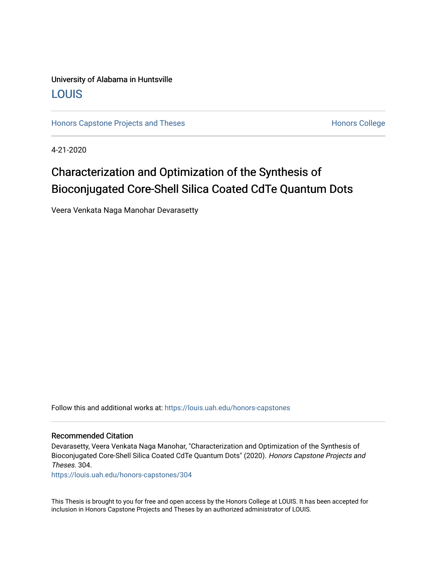## University of Alabama in Huntsville [LOUIS](https://louis.uah.edu/)

[Honors Capstone Projects and Theses](https://louis.uah.edu/honors-capstones) **Honors College** Honors College

4-21-2020

## Characterization and Optimization of the Synthesis of Bioconjugated Core-Shell Silica Coated CdTe Quantum Dots

Veera Venkata Naga Manohar Devarasetty

Follow this and additional works at: [https://louis.uah.edu/honors-capstones](https://louis.uah.edu/honors-capstones?utm_source=louis.uah.edu%2Fhonors-capstones%2F304&utm_medium=PDF&utm_campaign=PDFCoverPages) 

#### Recommended Citation

Devarasetty, Veera Venkata Naga Manohar, "Characterization and Optimization of the Synthesis of Bioconjugated Core-Shell Silica Coated CdTe Quantum Dots" (2020). Honors Capstone Projects and Theses. 304.

[https://louis.uah.edu/honors-capstones/304](https://louis.uah.edu/honors-capstones/304?utm_source=louis.uah.edu%2Fhonors-capstones%2F304&utm_medium=PDF&utm_campaign=PDFCoverPages) 

This Thesis is brought to you for free and open access by the Honors College at LOUIS. It has been accepted for inclusion in Honors Capstone Projects and Theses by an authorized administrator of LOUIS.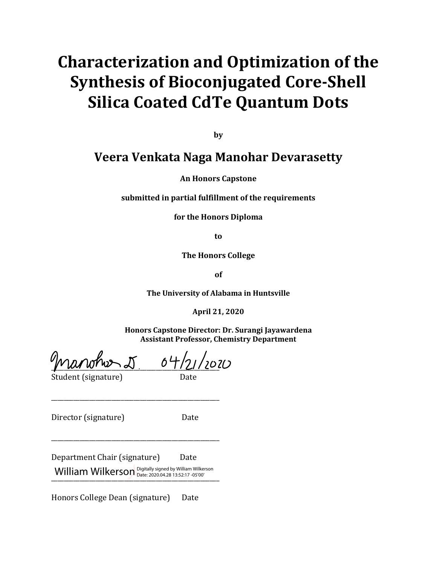# **Characterization and Optimization of the Synthesis of Bioconjugated Core-Shell Silica Coated CdTe Quantum Dots**

**by**

## **Veera Venkata Naga Manohar Devarasetty**

**An Honors Capstone**

**submitted in partial fulfillment of the requirements**

**for the Honors Diploma** 

**to**

**The Honors College**

**of**

**The University of Alabama in Huntsville**

**April 21, 2020**

**Honors Capstone Director: Dr. Surangi Jayawardena Assistant Professor, Chemistry Department**

 $\frac{1}{\sqrt{2}}$ Student (signature) Date

\_\_\_\_\_\_\_\_\_\_\_\_\_\_\_\_\_\_\_\_\_\_\_\_\_\_\_\_\_\_\_\_\_\_\_\_\_\_\_\_\_\_\_\_\_\_\_\_\_\_\_\_\_

\_\_\_\_\_\_\_\_\_\_\_\_\_\_\_\_\_\_\_\_\_\_\_\_\_\_\_\_\_\_\_\_\_\_\_\_\_\_\_\_\_\_\_\_\_\_\_\_\_\_\_\_\_

Director (signature) Date

Department Chair (signature) Date \_\_\_\_\_\_\_\_\_\_\_\_\_\_\_\_\_\_\_\_\_\_\_\_\_\_\_\_\_\_\_\_\_\_\_\_\_\_\_\_\_\_\_\_\_\_\_\_\_\_\_\_\_ William Wilkerson Digitally signed by William Wilkerson Date: 2020.04.28 13:52:17 -05'00'

Honors College Dean (signature) Date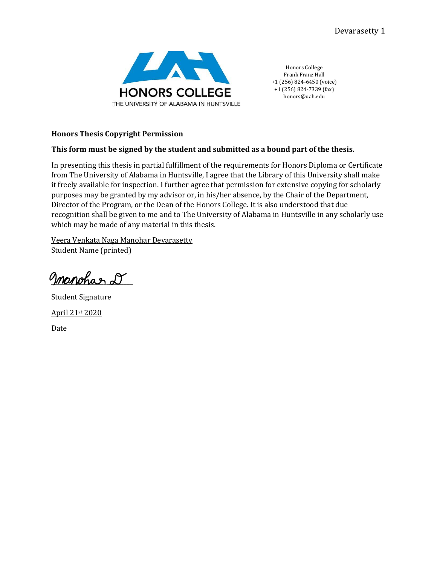

Honors College Frank Franz Hall +1 (256) 824-6450 (voice) +1 (256) 824-7339 (fax) honors@uah.edu

### **Honors Thesis Copyright Permission**

## **This form must be signed by the student and submitted as a bound part of the thesis.**

In presenting this thesis in partial fulfillment of the requirements for Honors Diploma or Certificate from The University of Alabama in Huntsville, I agree that the Library of this University shall make it freely available for inspection. I further agree that permission for extensive copying for scholarly purposes may be granted by my advisor or, in his/her absence, by the Chair of the Department, Director of the Program, or the Dean of the Honors College. It is also understood that due recognition shall be given to me and to The University of Alabama in Huntsville in any scholarly use which may be made of any material in this thesis.

Veera Venkata Naga Manohar Devarasetty Student Name (printed)

manchar d.

Student Signature April 21st 2020 Date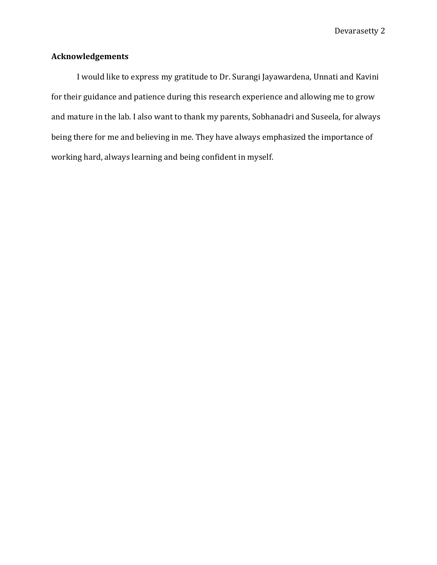## <span id="page-3-0"></span>**Acknowledgements**

I would like to express my gratitude to Dr. Surangi Jayawardena, Unnati and Kavini for their guidance and patience during this research experience and allowing me to grow and mature in the lab. I also want to thank my parents, Sobhanadri and Suseela, for always being there for me and believing in me. They have always emphasized the importance of working hard, always learning and being confident in myself.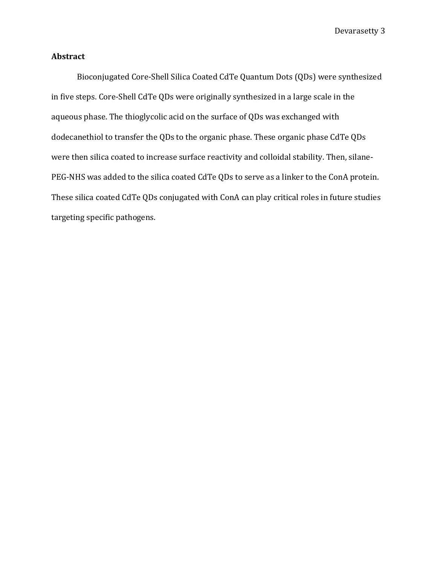## <span id="page-4-0"></span>**Abstract**

Bioconjugated Core-Shell Silica Coated CdTe Quantum Dots (QDs) were synthesized in five steps. Core-Shell CdTe QDs were originally synthesized in a large scale in the aqueous phase. The thioglycolic acid on the surface of QDs was exchanged with dodecanethiol to transfer the QDs to the organic phase. These organic phase CdTe QDs were then silica coated to increase surface reactivity and colloidal stability. Then, silane-PEG-NHS was added to the silica coated CdTe QDs to serve as a linker to the ConA protein. These silica coated CdTe QDs conjugated with ConA can play critical roles in future studies targeting specific pathogens.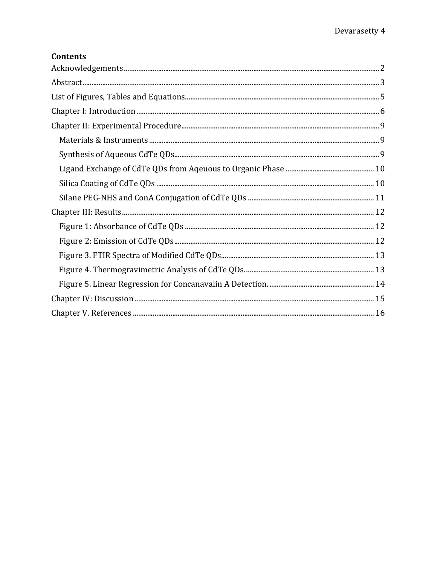## **Contents**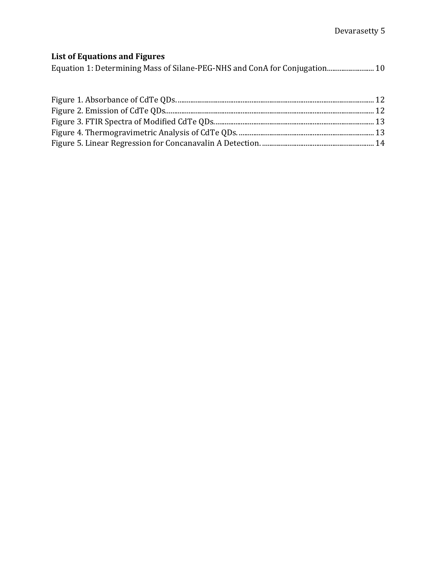## <span id="page-6-0"></span>**List of Equations and Figures**

Equation 1: Determining Mass of Silane-PEG-NHS and ConA for Conjugation.......................... 10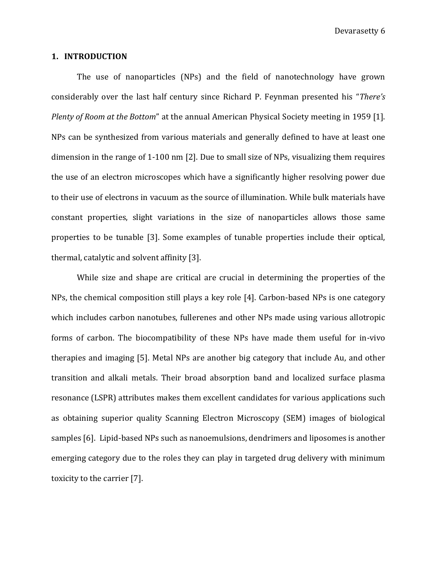#### **1. INTRODUCTION**

<span id="page-7-0"></span>The use of nanoparticles (NPs) and the field of nanotechnology have grown considerably over the last half century since Richard P. Feynman presented his "*There's Plenty of Room at the Bottom*" at the annual American Physical Society meeting in 1959 [1]. NPs can be synthesized from various materials and generally defined to have at least one dimension in the range of 1-100 nm [2]. Due to small size of NPs, visualizing them requires the use of an electron microscopes which have a significantly higher resolving power due to their use of electrons in vacuum as the source of illumination. While bulk materials have constant properties, slight variations in the size of nanoparticles allows those same properties to be tunable [3]. Some examples of tunable properties include their optical, thermal, catalytic and solvent affinity [3].

While size and shape are critical are crucial in determining the properties of the NPs, the chemical composition still plays a key role [4]. Carbon-based NPs is one category which includes carbon nanotubes, fullerenes and other NPs made using various allotropic forms of carbon. The biocompatibility of these NPs have made them useful for in-vivo therapies and imaging [5]. Metal NPs are another big category that include Au, and other transition and alkali metals. Their broad absorption band and localized surface plasma resonance (LSPR) attributes makes them excellent candidates for various applications such as obtaining superior quality Scanning Electron Microscopy (SEM) images of biological samples [6]. Lipid-based NPs such as nanoemulsions, dendrimers and liposomes is another emerging category due to the roles they can play in targeted drug delivery with minimum toxicity to the carrier [7].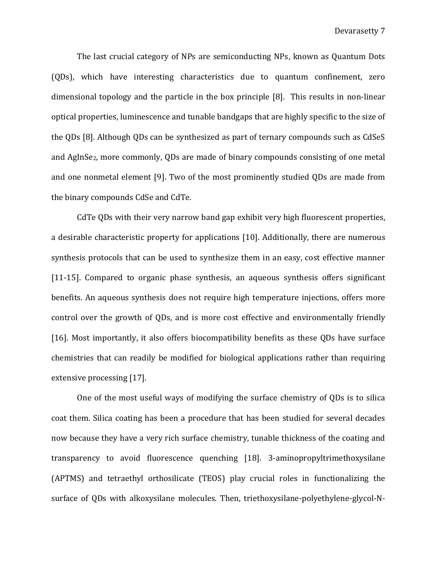The last crucial category of NPs are semiconducting NPs, known as Quantum Dots (QDs), which have interesting characteristics due to quantum confinement, zero dimensional topology and the particle in the box principle [8]. This results in non-linear optical properties, luminescence and tunable bandgaps that are highly specific to the size of the QDs [8]. Although QDs can be synthesized as part of ternary compounds such as CdSeS and AgInSe2, more commonly, QDs are made of binary compounds consisting of one metal and one nonmetal element [9]. Two of the most prominently studied QDs are made from the binary compounds CdSe and CdTe.

CdTe QDs with their very narrow band gap exhibit very high fluorescent properties, a desirable characteristic property for applications [10]. Additionally, there are numerous synthesis protocols that can be used to synthesize them in an easy, cost effective manner [11-15]. Compared to organic phase synthesis, an aqueous synthesis offers significant benefits. An aqueous synthesis does not require high temperature injections, offers more control over the growth of QDs, and is more cost effective and environmentally friendly [16]. Most importantly, it also offers biocompatibility benefits as these QDs have surface chemistries that can readily be modified for biological applications rather than requiring extensive processing [17].

One of the most useful ways of modifying the surface chemistry of QDs is to silica coat them. Silica coating has been a procedure that has been studied for several decades now because they have a very rich surface chemistry, tunable thickness of the coating and transparency to avoid fluorescence quenching [18]. 3-aminopropyltrimethoxysilane (APTMS) and tetraethyl orthosilicate (TEOS) play crucial roles in functionalizing the surface of QDs with alkoxysilane molecules. Then, triethoxysilane-polyethylene-glycol-N-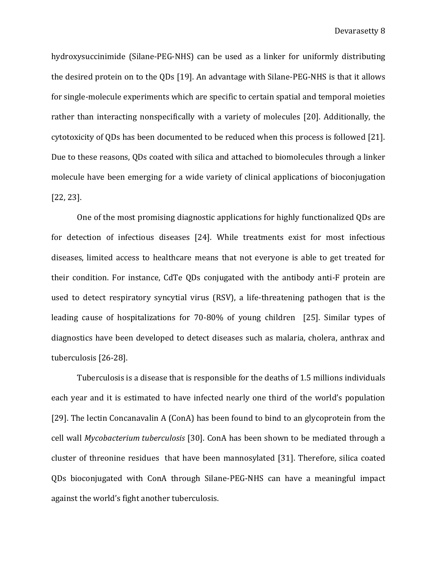hydroxysuccinimide (Silane-PEG-NHS) can be used as a linker for uniformly distributing the desired protein on to the QDs [19]. An advantage with Silane-PEG-NHS is that it allows for single-molecule experiments which are specific to certain spatial and temporal moieties rather than interacting nonspecifically with a variety of molecules [20]. Additionally, the cytotoxicity of QDs has been documented to be reduced when this process is followed [21]. Due to these reasons, QDs coated with silica and attached to biomolecules through a linker molecule have been emerging for a wide variety of clinical applications of bioconjugation [22, 23].

One of the most promising diagnostic applications for highly functionalized QDs are for detection of infectious diseases [24]. While treatments exist for most infectious diseases, limited access to healthcare means that not everyone is able to get treated for their condition. For instance, CdTe QDs conjugated with the antibody anti-F protein are used to detect respiratory syncytial virus (RSV), a life-threatening pathogen that is the leading cause of hospitalizations for 70-80% of young children [25]. Similar types of diagnostics have been developed to detect diseases such as malaria, cholera, anthrax and tuberculosis [26-28].

Tuberculosis is a disease that is responsible for the deaths of 1.5 millions individuals each year and it is estimated to have infected nearly one third of the world's population [29]. The lectin Concanavalin A (ConA) has been found to bind to an glycoprotein from the cell wall *Mycobacterium tuberculosis* [30]. ConA has been shown to be mediated through a cluster of threonine residues that have been mannosylated [31]. Therefore, silica coated QDs bioconjugated with ConA through Silane-PEG-NHS can have a meaningful impact against the world's fight another tuberculosis.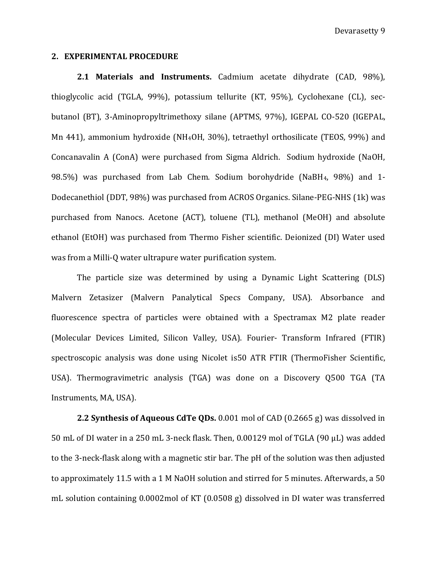#### **2. EXPERIMENTAL PROCEDURE**

<span id="page-10-1"></span><span id="page-10-0"></span>**2.1 Materials and Instruments.** Cadmium acetate dihydrate (CAD, 98%), thioglycolic acid (TGLA, 99%), potassium tellurite (KT, 95%), Cyclohexane (CL), secbutanol (BT), 3-Aminopropyltrimethoxy silane (APTMS, 97%), IGEPAL CO-520 (IGEPAL, Mn 441), ammonium hydroxide (NH4OH, 30%), tetraethyl orthosilicate (TEOS, 99%) and Concanavalin A (ConA) were purchased from Sigma Aldrich. Sodium hydroxide (NaOH, 98.5%) was purchased from Lab Chem. Sodium borohydride (NaBH4, 98%) and 1- Dodecanethiol (DDT, 98%) was purchased from ACROS Organics. Silane-PEG-NHS (1k) was purchased from Nanocs. Acetone (ACT), toluene (TL), methanol (MeOH) and absolute ethanol (EtOH) was purchased from Thermo Fisher scientific. Deionized (DI) Water used was from a Milli-Q water ultrapure water purification system.

The particle size was determined by using a Dynamic Light Scattering (DLS) Malvern Zetasizer (Malvern Panalytical Specs Company, USA). Absorbance and fluorescence spectra of particles were obtained with a Spectramax M2 plate reader (Molecular Devices Limited, Silicon Valley, USA). Fourier- Transform Infrared (FTIR) spectroscopic analysis was done using Nicolet is50 ATR FTIR (ThermoFisher Scientific, USA). Thermogravimetric analysis (TGA) was done on a Discovery Q500 TGA (TA Instruments, MA, USA).

**2.2 Synthesis of Aqueous CdTe QDs.** 0.001 mol of CAD (0.2665 g) was dissolved in 50 mL of DI water in a 250 mL 3-neck flask. Then, 0.00129 mol of TGLA (90 μL) was added to the 3-neck-flask along with a magnetic stir bar. The pH of the solution was then adjusted to approximately 11.5 with a 1 M NaOH solution and stirred for 5 minutes. Afterwards, a 50 mL solution containing 0.0002mol of KT (0.0508 g) dissolved in DI water was transferred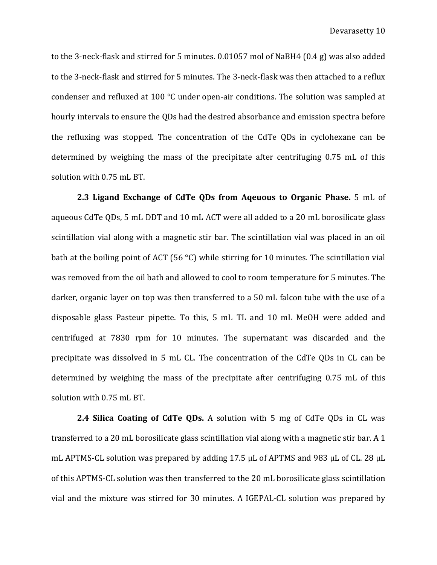to the 3-neck-flask and stirred for 5 minutes. 0.01057 mol of NaBH4 (0.4 g) was also added to the 3-neck-flask and stirred for 5 minutes. The 3-neck-flask was then attached to a reflux condenser and refluxed at 100 °C under open-air conditions. The solution was sampled at hourly intervals to ensure the QDs had the desired absorbance and emission spectra before the refluxing was stopped. The concentration of the CdTe QDs in cyclohexane can be determined by weighing the mass of the precipitate after centrifuging 0.75 mL of this solution with 0.75 mL BT.

**2.3 Ligand Exchange of CdTe QDs from Aqeuous to Organic Phase.** 5 mL of aqueous CdTe QDs, 5 mL DDT and 10 mL ACT were all added to a 20 mL borosilicate glass scintillation vial along with a magnetic stir bar. The scintillation vial was placed in an oil bath at the boiling point of ACT (56 °C) while stirring for 10 minutes. The scintillation vial was removed from the oil bath and allowed to cool to room temperature for 5 minutes. The darker, organic layer on top was then transferred to a 50 mL falcon tube with the use of a disposable glass Pasteur pipette. To this, 5 mL TL and 10 mL MeOH were added and centrifuged at 7830 rpm for 10 minutes. The supernatant was discarded and the precipitate was dissolved in 5 mL CL. The concentration of the CdTe QDs in CL can be determined by weighing the mass of the precipitate after centrifuging 0.75 mL of this solution with 0.75 mL BT.

**2.4 Silica Coating of CdTe QDs.** A solution with 5 mg of CdTe QDs in CL was transferred to a 20 mL borosilicate glass scintillation vial along with a magnetic stir bar. A 1 mL APTMS-CL solution was prepared by adding 17.5 μL of APTMS and 983 μL of CL. 28 μL of this APTMS-CL solution was then transferred to the 20 mL borosilicate glass scintillation vial and the mixture was stirred for 30 minutes. A IGEPAL-CL solution was prepared by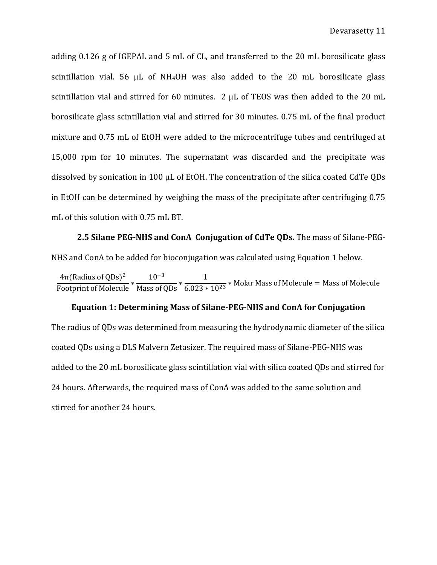adding 0.126 g of IGEPAL and 5 mL of CL, and transferred to the 20 mL borosilicate glass scintillation vial. 56  $\mu$ L of NH<sub>4</sub>OH was also added to the 20 mL borosilicate glass scintillation vial and stirred for 60 minutes. 2 μL of TEOS was then added to the 20 mL borosilicate glass scintillation vial and stirred for 30 minutes. 0.75 mL of the final product mixture and 0.75 mL of EtOH were added to the microcentrifuge tubes and centrifuged at 15,000 rpm for 10 minutes. The supernatant was discarded and the precipitate was dissolved by sonication in 100 μL of EtOH. The concentration of the silica coated CdTe QDs in EtOH can be determined by weighing the mass of the precipitate after centrifuging 0.75 mL of this solution with 0.75 mL BT.

**2.5 Silane PEG-NHS and ConA Conjugation of CdTe QDs.** The mass of Silane-PEG-NHS and ConA to be added for bioconjugation was calculated using Equation 1 below.

 $4\pi$ (Radius of QDs)<sup>2</sup> Footprint of Molecule <sup>∗</sup> 10−3 Mass of QDs <sup>∗</sup> 1  $\frac{1}{6.023 \times 10^{23}}$  \* Molar Mass of Molecule = Mass of Molecule

#### **Equation 1: Determining Mass of Silane-PEG-NHS and ConA for Conjugation**

The radius of QDs was determined from measuring the hydrodynamic diameter of the silica coated QDs using a DLS Malvern Zetasizer. The required mass of Silane-PEG-NHS was added to the 20 mL borosilicate glass scintillation vial with silica coated QDs and stirred for 24 hours. Afterwards, the required mass of ConA was added to the same solution and stirred for another 24 hours.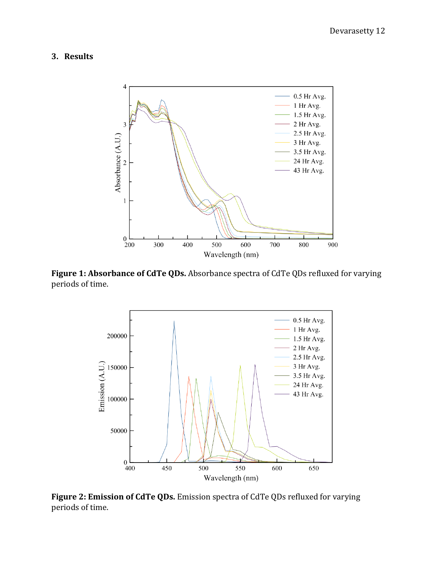### <span id="page-13-0"></span>**3. Results**

<span id="page-13-1"></span>

**Figure 1: Absorbance of CdTe QDs.** Absorbance spectra of CdTe QDs refluxed for varying periods of time.



**Figure 2: Emission of CdTe QDs.** Emission spectra of CdTe QDs refluxed for varying periods of time.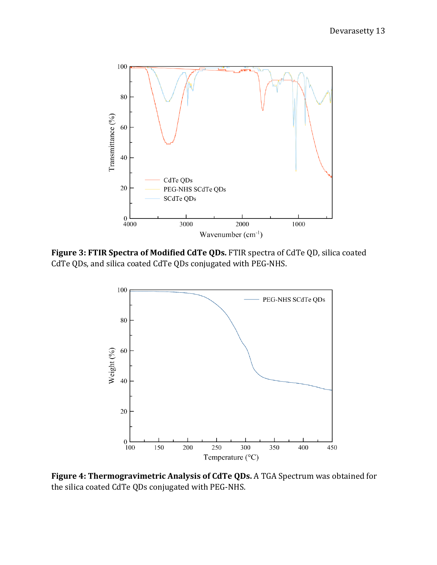

**Figure 3: FTIR Spectra of Modified CdTe QDs.** FTIR spectra of CdTe QD, silica coated CdTe QDs, and silica coated CdTe QDs conjugated with PEG-NHS.



**Figure 4: Thermogravimetric Analysis of CdTe QDs.** A TGA Spectrum was obtained for the silica coated CdTe QDs conjugated with PEG-NHS.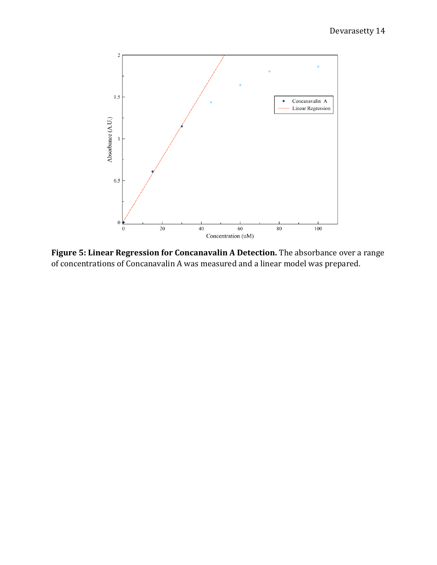

**Figure 5: Linear Regression for Concanavalin A Detection.** The absorbance over a range of concentrations of Concanavalin A was measured and a linear model was prepared.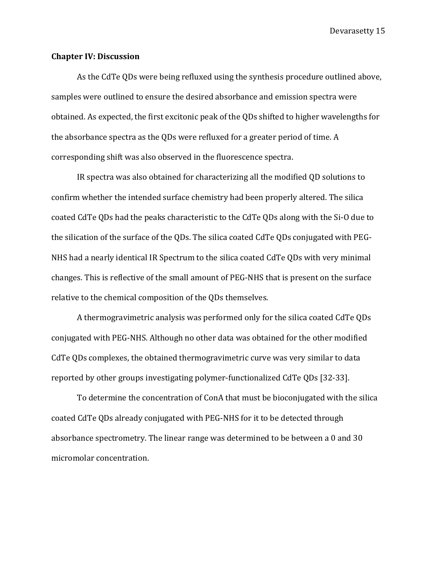#### <span id="page-16-0"></span>**Chapter IV: Discussion**

As the CdTe QDs were being refluxed using the synthesis procedure outlined above, samples were outlined to ensure the desired absorbance and emission spectra were obtained. As expected, the first excitonic peak of the QDs shifted to higher wavelengths for the absorbance spectra as the QDs were refluxed for a greater period of time. A corresponding shift was also observed in the fluorescence spectra.

IR spectra was also obtained for characterizing all the modified QD solutions to confirm whether the intended surface chemistry had been properly altered. The silica coated CdTe QDs had the peaks characteristic to the CdTe QDs along with the Si-O due to the silication of the surface of the QDs. The silica coated CdTe QDs conjugated with PEG-NHS had a nearly identical IR Spectrum to the silica coated CdTe QDs with very minimal changes. This is reflective of the small amount of PEG-NHS that is present on the surface relative to the chemical composition of the QDs themselves.

A thermogravimetric analysis was performed only for the silica coated CdTe QDs conjugated with PEG-NHS. Although no other data was obtained for the other modified CdTe QDs complexes, the obtained thermogravimetric curve was very similar to data reported by other groups investigating polymer-functionalized CdTe QDs [32-33].

To determine the concentration of ConA that must be bioconjugated with the silica coated CdTe QDs already conjugated with PEG-NHS for it to be detected through absorbance spectrometry. The linear range was determined to be between a 0 and 30 micromolar concentration.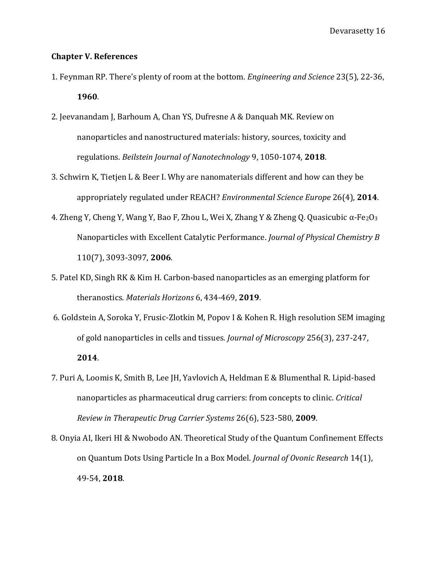#### <span id="page-17-0"></span>**Chapter V. References**

- 1. Feynman RP. There's plenty of room at the bottom. *Engineering and Science* 23(5), 22-36, **1960**.
- 2. Jeevanandam J, Barhoum A, Chan YS, Dufresne A & Danquah MK. Review on nanoparticles and nanostructured materials: history, sources, toxicity and regulations. *Beilstein Journal of Nanotechnology* 9, 1050-1074, **2018**.
- 3. Schwirn K, Tietjen L & Beer I. Why are nanomaterials different and how can they be appropriately regulated under REACH? *Environmental Science Europe* 26(4), **2014**.
- 4. Zheng Y, Cheng Y, Wang Y, Bao F, Zhou L, Wei X, Zhang Y & Zheng Q. Quasicubic α-Fe2O<sup>3</sup> Nanoparticles with Excellent Catalytic Performance. *Journal of Physical Chemistry B* 110(7), 3093-3097, **2006**.
- 5. Patel KD, Singh RK & Kim H. Carbon-based nanoparticles as an emerging platform for theranostics. *Materials Horizons* 6, 434-469, **2019**.
- 6. Goldstein A, Soroka Y, Frusic-Zlotkin M, Popov I & Kohen R. High resolution SEM imaging of gold nanoparticles in cells and tissues. *Journal of Microscopy* 256(3), 237-247, **2014**.
- 7. Puri A, Loomis K, Smith B, Lee JH, Yavlovich A, Heldman E & Blumenthal R. Lipid-based nanoparticles as pharmaceutical drug carriers: from concepts to clinic. *Critical Review in Therapeutic Drug Carrier Systems* 26(6), 523-580, **2009**.
- 8. Onyia AI, Ikeri HI & Nwobodo AN. Theoretical Study of the Quantum Confinement Effects on Quantum Dots Using Particle In a Box Model. *Journal of Ovonic Research* 14(1), 49-54, **2018**.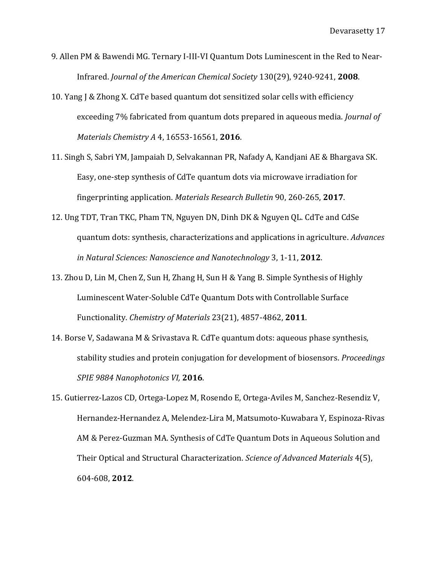- 9. Allen PM & Bawendi MG. Ternary I-III-VI Quantum Dots Luminescent in the Red to Near-Infrared. *Journal of the American Chemical Society* 130(29), 9240-9241, **2008**.
- 10. Yang J & Zhong X. CdTe based quantum dot sensitized solar cells with efficiency exceeding 7% fabricated from quantum dots prepared in aqueous media. *Journal of Materials Chemistry A* 4, 16553-16561, **2016**.
- 11. Singh S, Sabri YM, Jampaiah D, Selvakannan PR, Nafady A, Kandjani AE & Bhargava SK. Easy, one-step synthesis of CdTe quantum dots via microwave irradiation for fingerprinting application. *Materials Research Bulletin* 90, 260-265, **2017**.
- 12. Ung TDT, Tran TKC, Pham TN, Nguyen DN, Dinh DK & Nguyen QL. CdTe and CdSe quantum dots: synthesis, characterizations and applications in agriculture. *Advances in Natural Sciences: Nanoscience and Nanotechnology* 3, 1-11, **2012**.
- 13. Zhou D, Lin M, Chen Z, Sun H, Zhang H, Sun H & Yang B. Simple Synthesis of Highly Luminescent Water-Soluble CdTe Quantum Dots with Controllable Surface Functionality. *Chemistry of Materials* 23(21), 4857-4862, **2011**.
- 14. Borse V, Sadawana M & Srivastava R. CdTe quantum dots: aqueous phase synthesis, stability studies and protein conjugation for development of biosensors. *Proceedings SPIE 9884 Nanophotonics VI,* **2016**.
- 15. Gutierrez-Lazos CD, Ortega-Lopez M, Rosendo E, Ortega-Aviles M, Sanchez-Resendiz V, Hernandez-Hernandez A, Melendez-Lira M, Matsumoto-Kuwabara Y, Espinoza-Rivas AM & Perez-Guzman MA. Synthesis of CdTe Quantum Dots in Aqueous Solution and Their Optical and Structural Characterization. *Science of Advanced Materials* 4(5), 604-608, **2012**.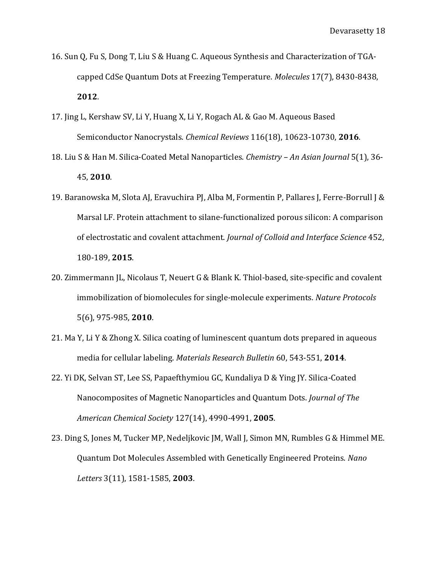- 16. Sun Q, Fu S, Dong T, Liu S & Huang C. Aqueous Synthesis and Characterization of TGAcapped CdSe Quantum Dots at Freezing Temperature. *Molecules* 17(7), 8430-8438, **2012**.
- 17. Jing L, Kershaw SV, Li Y, Huang X, Li Y, Rogach AL & Gao M. Aqueous Based Semiconductor Nanocrystals. *Chemical Reviews* 116(18), 10623-10730, **2016**.
- 18. Liu S & Han M. Silica-Coated Metal Nanoparticles. *Chemistry – An Asian Journal* 5(1), 36- 45, **2010**.
- 19. Baranowska M, Slota AJ, Eravuchira PJ, Alba M, Formentin P, Pallares J, Ferre-Borrull J & Marsal LF. Protein attachment to silane-functionalized porous silicon: A comparison of electrostatic and covalent attachment. *Journal of Colloid and Interface Science* 452, 180-189, **2015**.
- 20. Zimmermann JL, Nicolaus T, Neuert G & Blank K. Thiol-based, site-specific and covalent immobilization of biomolecules for single-molecule experiments. *Nature Protocols*  5(6), 975-985, **2010**.
- 21. Ma Y, Li Y & Zhong X. Silica coating of luminescent quantum dots prepared in aqueous media for cellular labeling. *Materials Research Bulletin* 60, 543-551, **2014**.
- 22. Yi DK, Selvan ST, Lee SS, Papaefthymiou GC, Kundaliya D & Ying JY. Silica-Coated Nanocomposites of Magnetic Nanoparticles and Quantum Dots. *Journal of The American Chemical Society* 127(14), 4990-4991, **2005**.
- 23. Ding S, Jones M, Tucker MP, Nedeljkovic JM, Wall J, Simon MN, Rumbles G & Himmel ME. Quantum Dot Molecules Assembled with Genetically Engineered Proteins. *Nano Letters* 3(11), 1581-1585, **2003**.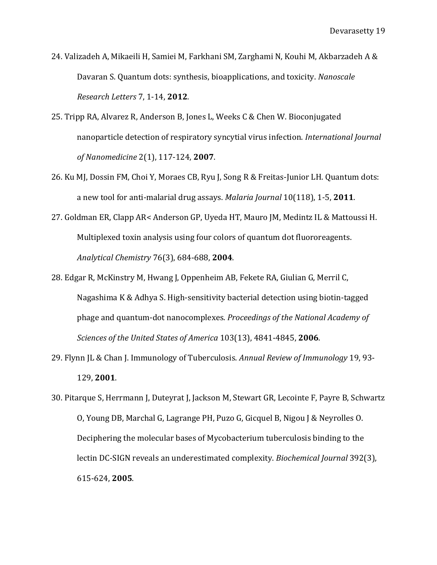- 24. Valizadeh A, Mikaeili H, Samiei M, Farkhani SM, Zarghami N, Kouhi M, Akbarzadeh A & Davaran S. Quantum dots: synthesis, bioapplications, and toxicity. *Nanoscale Research Letters* 7, 1-14, **2012**.
- 25. Tripp RA, Alvarez R, Anderson B, Jones L, Weeks C & Chen W. Bioconjugated nanoparticle detection of respiratory syncytial virus infection. *International Journal of Nanomedicine* 2(1), 117-124, **2007**.
- 26. Ku MJ, Dossin FM, Choi Y, Moraes CB, Ryu J, Song R & Freitas-Junior LH. Quantum dots: a new tool for anti-malarial drug assays. *Malaria Journal* 10(118), 1-5, **2011**.
- 27. Goldman ER, Clapp AR< Anderson GP, Uyeda HT, Mauro JM, Medintz IL & Mattoussi H. Multiplexed toxin analysis using four colors of quantum dot fluororeagents. *Analytical Chemistry* 76(3), 684-688, **2004**.
- 28. Edgar R, McKinstry M, Hwang J, Oppenheim AB, Fekete RA, Giulian G, Merril C, Nagashima K & Adhya S. High-sensitivity bacterial detection using biotin-tagged phage and quantum-dot nanocomplexes. *Proceedings of the National Academy of Sciences of the United States of America* 103(13), 4841-4845, **2006**.
- 29. Flynn JL & Chan J. Immunology of Tuberculosis. *Annual Review of Immunology* 19, 93- 129, **2001**.
- 30. Pitarque S, Herrmann J, Duteyrat J, Jackson M, Stewart GR, Lecointe F, Payre B, Schwartz O, Young DB, Marchal G, Lagrange PH, Puzo G, Gicquel B, Nigou J & Neyrolles O. Deciphering the molecular bases of Mycobacterium tuberculosis binding to the lectin DC-SIGN reveals an underestimated complexity. *Biochemical Journal* 392(3), 615-624, **2005**.